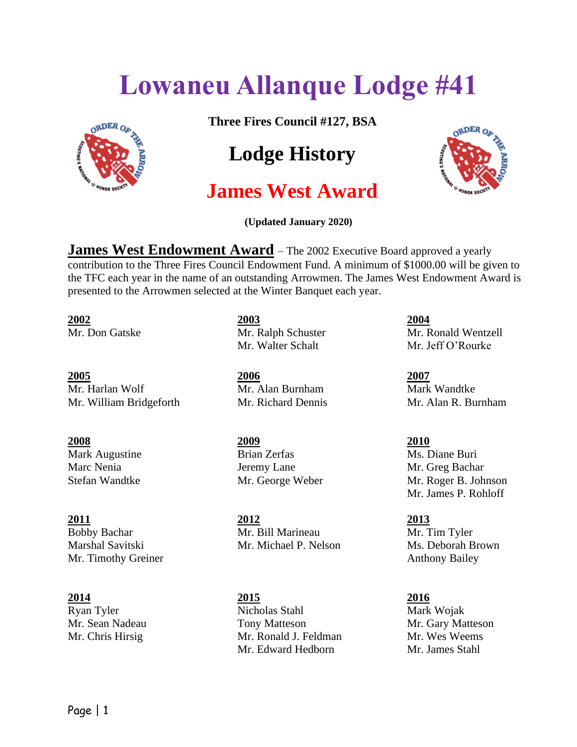# **Lowaneu Allanque Lodge #41**



**Three Fires Council #127, BSA**

# **Lodge History**

## **James West Award**



**(Updated January 2020)**

**James West Endowment Award** – The 2002 Executive Board approved a yearly contribution to the Three Fires Council Endowment Fund. A minimum of \$1000.00 will be given to the TFC each year in the name of an outstanding Arrowmen. The James West Endowment Award is presented to the Arrowmen selected at the Winter Banquet each year.

Mr. Harlan Wolf **Mr. Alan Burnham** Mark Wandtke Mr. William Bridgeforth Mr. Richard Dennis Mr. Alan R. Burnham

Mr. Timothy Greiner **Anthony Bailey** Anthony Bailey

**2002 2003 2004** Mr. Walter Schalt Mr. Jeff O'Rourke

**2005 2006 2007**

**2008 2009 2010** Mark Augustine **Brian Zerfas** Ms. Diane Buri Marc Nenia **Mr.** Greg Bachar Jeremy Lane Mr. Greg Bachar

**2011 2012 2013** Bobby Bachar Mr. Bill Marineau Mr. Tim Tyler Marshal Savitski Mr. Michael P. Nelson Ms. Deborah Brown

**2014 2015 2016** Ryan Tyler Nicholas Stahl Mark Wojak Mr. Sean Nadeau Tony Matteson Mr. Gary Matteson Mr. Chris Hirsig Mr. Ronald J. Feldman Mr. Wes Weems Mr. Edward Hedborn Mr. James Stahl

Mr. Don Gatske Mr. Ralph Schuster Mr. Ronald Wentzell

Stefan Wandtke Mr. George Weber Mr. Roger B. Johnson Mr. James P. Rohloff